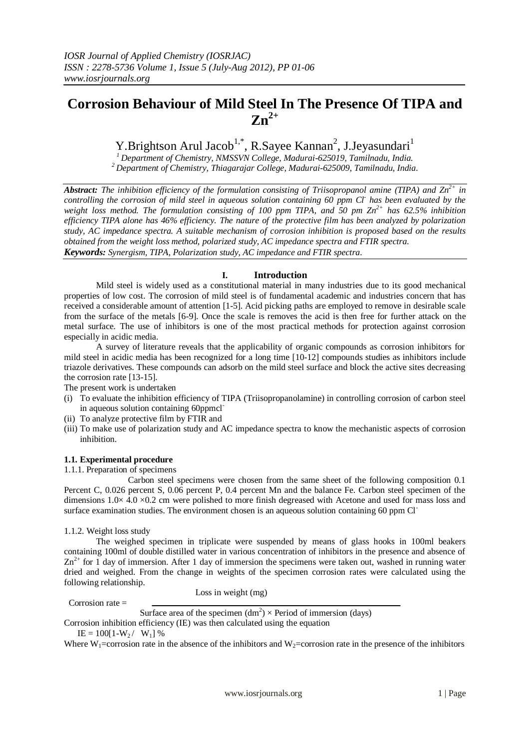# **Corrosion Behaviour of Mild Steel In The Presence Of TIPA and Zn2+**

Y.Brightson Arul Jacob<sup>1,\*</sup>, R.Sayee Kannan<sup>2</sup>, J.Jeyasundari<sup>1</sup>

*<sup>1</sup> Department of Chemistry, NMSSVN College, Madurai-625019, Tamilnadu, India. <sup>2</sup> Department of Chemistry, Thiagarajar College, Madurai-625009, Tamilnadu, India.*

*Abstract: The inhibition efficiency of the formulation consisting of Triisopropanol amine (TIPA) and Zn2+ in controlling the corrosion of mild steel in aqueous solution containing 60 ppm Cl - has been evaluated by the weight loss method. The formulation consisting of 100 ppm TIPA, and 50 pm Zn2+ has 62.5% inhibition efficiency TIPA alone has 46% efficiency. The nature of the protective film has been analyzed by polarization study, AC impedance spectra. A suitable mechanism of corrosion inhibition is proposed based on the results obtained from the weight loss method, polarized study, AC impedance spectra and FTIR spectra. Keywords: Synergism, TIPA, Polarization study, AC impedance and FTIR spectra*.

## **I. Introduction**

Mild steel is widely used as a constitutional material in many industries due to its good mechanical properties of low cost. The corrosion of mild steel is of fundamental academic and industries concern that has received a considerable amount of attention [1-5]. Acid picking paths are employed to remove in desirable scale from the surface of the metals [6-9]. Once the scale is removes the acid is then free for further attack on the metal surface. The use of inhibitors is one of the most practical methods for protection against corrosion especially in acidic media.

A survey of literature reveals that the applicability of organic compounds as corrosion inhibitors for mild steel in acidic media has been recognized for a long time [10-12] compounds studies as inhibitors include triazole derivatives. These compounds can adsorb on the mild steel surface and block the active sites decreasing the corrosion rate [13-15].

The present work is undertaken

- (i) To evaluate the inhibition efficiency of TIPA (Triisopropanolamine) in controlling corrosion of carbon steel in aqueous solution containing 60ppmcl-
- (ii) To analyze protective film by FTIR and
- (iii) To make use of polarization study and AC impedance spectra to know the mechanistic aspects of corrosion inhibition.

#### **1.1. Experimental procedure**

1.1.1. Preparation of specimens

Carbon steel specimens were chosen from the same sheet of the following composition 0.1 Percent C, 0.026 percent S, 0.06 percent P, 0.4 percent Mn and the balance Fe. Carbon steel specimen of the dimensions 1.0× 4.0 ×0.2 cm were polished to more finish degreased with Acetone and used for mass loss and surface examination studies. The environment chosen is an aqueous solution containing 60 ppm Cl<sup>-</sup>

1.1.2. Weight loss study

The weighed specimen in triplicate were suspended by means of glass hooks in 100ml beakers containing 100ml of double distilled water in various concentration of inhibitors in the presence and absence of  $Zn^{2+}$  for 1 day of immersion. After 1 day of immersion the specimens were taken out, washed in running water dried and weighed. From the change in weights of the specimen corrosion rates were calculated using the following relationship.

Corrosion rate  $=$ 

Loss in weight (mg)

Surface area of the specimen  $(dm<sup>2</sup>) \times Period$  of immersion (days)

Corrosion inhibition efficiency (IE) was then calculated using the equation

 $IE = 100[1-W_2 / W_1]$  %

Where  $W_1$ =corrosion rate in the absence of the inhibitors and  $W_2$ =corrosion rate in the presence of the inhibitors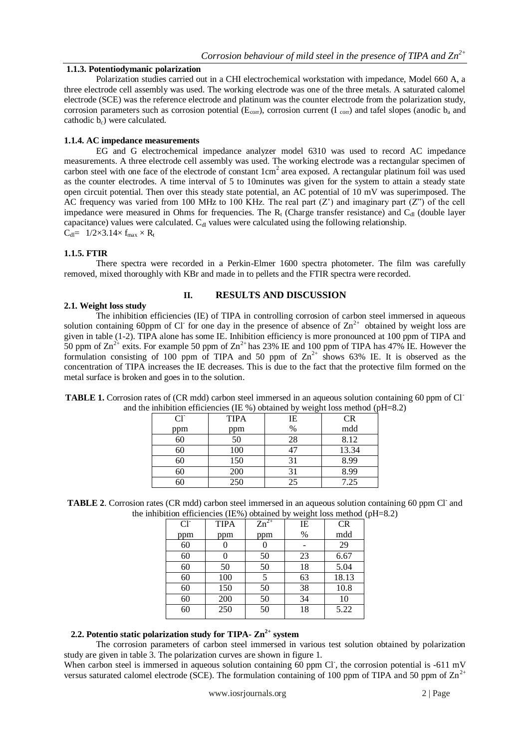#### **1.1.3. Potentiodymanic polarization**

Polarization studies carried out in a CHI electrochemical workstation with impedance, Model 660 A, a three electrode cell assembly was used. The working electrode was one of the three metals. A saturated calomel electrode (SCE) was the reference electrode and platinum was the counter electrode from the polarization study, corrosion parameters such as corrosion potential ( $E_{corr}$ ), corrosion current (I corr) and tafel slopes (anodic  $b_a$  and cathodic  $b_c$ ) were calculated.

#### **1.1.4. AC impedance measurements**

EG and G electrochemical impedance analyzer model 6310 was used to record AC impedance measurements. A three electrode cell assembly was used. The working electrode was a rectangular specimen of carbon steel with one face of the electrode of constant 1cm<sup>2</sup> area exposed. A rectangular platinum foil was used as the counter electrodes. A time interval of 5 to 10minutes was given for the system to attain a steady state open circuit potential. Then over this steady state potential, an AC potential of 10 mV was superimposed. The AC frequency was varied from 100 MHz to 100 KHz. The real part  $(Z')$  and imaginary part  $(Z'')$  of the cell impedance were measured in Ohms for frequencies. The  $R_t$  (Charge transfer resistance) and C<sub>dl</sub> (double layer capacitance) values were calculated. C<sub>dl</sub> values were calculated using the following relationship.  $C_{dl} = 1/2 \times 3.14 \times f_{max} \times R_t$ 

#### **1.1.5. FTIR**

There spectra were recorded in a Perkin-Elmer 1600 spectra photometer. The film was carefully removed, mixed thoroughly with KBr and made in to pellets and the FTIR spectra were recorded.

### **2.1. Weight loss study**

#### **II. RESULTS AND DISCUSSION**

The inhibition efficiencies (IE) of TIPA in controlling corrosion of carbon steel immersed in aqueous solution containing 60ppm of Cl for one day in the presence of absence of  $\text{Zn}^{2+}$  obtained by weight loss are given in table (1-2). TIPA alone has some IE. Inhibition efficiency is more pronounced at 100 ppm of TIPA and 50 ppm of  $\text{Zn}^{2+}$  exits. For example 50 ppm of  $\text{Zn}^{2+}$  has 23% IE and 100 ppm of TIPA has 47% IE. However the formulation consisting of 100 ppm of TIPA and 50 ppm of  $\text{Zn}^{2+}$  shows 63% IE. It is observed as the concentration of TIPA increases the IE decreases. This is due to the fact that the protective film formed on the metal surface is broken and goes in to the solution.

| $Cl^{\dagger}$ | <b>TIPA</b> | IE   | <b>CR</b> |
|----------------|-------------|------|-----------|
| ppm            | ppm         | $\%$ | mdd       |
| 60             | 50          | 28   | 8.12      |
| 60             | 100         |      | 13.34     |
|                | 150         | 31   | 8.99      |
|                | 200         | 31   | 8.99      |
|                | 250         | 25   | 7.25      |

**TABLE 1.** Corrosion rates of (CR mdd) carbon steel immersed in an aqueous solution containing 60 ppm of Cland the inhibition efficiencies (IE %) obtained by weight loss method (pH=8.2)

**TABLE 2.** Corrosion rates (CR mdd) carbon steel immersed in an aqueous solution containing 60 ppm Cl<sup>-</sup> and the inhibition efficiencies (IE%) obtained by weight loss method (pH=8.2)

| $Cl^{\dagger}$ | <b>TIPA</b> | $Zn^{2+}$ | IE | <b>CR</b> |
|----------------|-------------|-----------|----|-----------|
| ppm            | ppm         | ppm       | %  | mdd       |
| 60             |             |           |    | 29        |
| 60             |             | 50        | 23 | 6.67      |
| 60             | 50          | 50        | 18 | 5.04      |
| 60             | 100         |           | 63 | 18.13     |
| 60             | 150         | 50        | 38 | 10.8      |
| 60             | 200         | 50        | 34 | 10        |
| 60             | 250         | 50        | 18 | 5.22      |

## **2.2. Potentio static polarization study for TIPA- Zn2+ system**

The corrosion parameters of carbon steel immersed in various test solution obtained by polarization study are given in table 3. The polarization curves are shown in figure 1.

When carbon steel is immersed in aqueous solution containing 60 ppm Cl, the corrosion potential is -611 mV versus saturated calomel electrode (SCE). The formulation containing of 100 ppm of TIPA and 50 ppm of  $\text{Zn}^{2+}$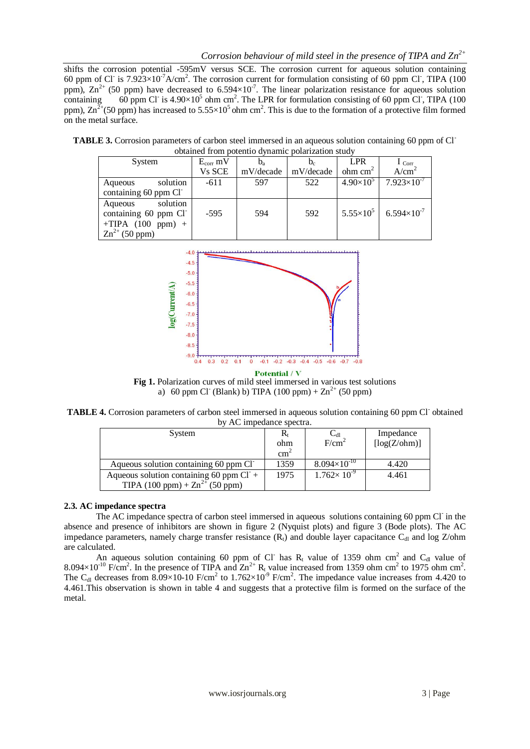shifts the corrosion potential -595mV versus SCE. The corrosion current for aqueous solution containing 60 ppm of Cl is  $7.923\times10^{-7}$ A/cm<sup>2</sup>. The corrosion current for formulation consisting of 60 ppm Cl, TIPA (100 ppm),  $\text{Zn}^{2+}$  (50 ppm) have decreased to 6.594 $\times$ 10<sup>-7</sup>. The linear polarization resistance for aqueous solution containing 60 ppm Cl<sup>-</sup> is  $4.90 \times 10^5$  ohm cm<sup>2</sup>. The LPR for formulation consisting of 60 ppm Cl<sup>-</sup>, TIPA (100) ppm),  $\text{Zn}^{\frac{7}{2}+}$ (50 ppm) has increased to 5.55×10<sup>5</sup> ohm cm<sup>2</sup>. This is due to the formation of a protective film formed on the metal surface.

**TABLE 3.** Corrosion parameters of carbon steel immersed in an aqueous solution containing 60 ppm of Clobtained from potentio dynamic polarization study

| System                                                   | $E_{corr}$ mV |           |           | <b>LPR</b>            | $1_{Corr}$           |
|----------------------------------------------------------|---------------|-----------|-----------|-----------------------|----------------------|
|                                                          | Vs SCE        | mV/decade | mV/decade | $ohm$ cm <sup>2</sup> | A/cm <sup>2</sup>    |
| solution<br>Aqueous                                      | $-611$        | 597       | 522       | $4.90\times10^{5}$    | $7.923\times10^{-7}$ |
| containing 60 ppm Cl                                     |               |           |           |                       |                      |
| solution<br>Aqueous<br>containing 60 ppm Cl <sup>-</sup> | $-595$        | 594       | 592       | $5.55\times10^{5}$    | $6.594\times10^{-7}$ |
| $+TIPA$ (100 ppm) +                                      |               |           |           |                       |                      |
| $Zn^{2+}$ (50 ppm)                                       |               |           |           |                       |                      |



**Fig 1.** Polarization curves of mild steel immersed in various test solutions a) 60 ppm Cl<sup>-</sup> (Blank) b) TIPA (100 ppm) +  $\text{Zn}^{2+}$  (50 ppm)

TABLE 4. Corrosion parameters of carbon steel immersed in aqueous solution containing 60 ppm Cl<sup>-</sup> obtained by AC impedance spectra.

| $\sigma$ $\chi$ $\chi$ impedance spectral.          |                           |                          |              |  |  |
|-----------------------------------------------------|---------------------------|--------------------------|--------------|--|--|
| System                                              | $\mathbf{K}_{\mathrm{t}}$ | $\mathsf{L}_{\text{dl}}$ | Impedance    |  |  |
|                                                     | ohm                       | F/cm <sup>2</sup>        | [log(Z/bhm)] |  |  |
|                                                     | cm <sup>2</sup>           |                          |              |  |  |
| Aqueous solution containing 60 ppm Cl <sup>-</sup>  | 1359                      | $8.094\times10^{-10}$    | 4.420        |  |  |
| Aqueous solution containing 60 ppm $Cl+$            | 1975                      | $1.762 \times 10^{-9}$   | 4.461        |  |  |
| TIPA $(100 \text{ ppm}) + Zn^{2+} (50 \text{ ppm})$ |                           |                          |              |  |  |

## **2.3. AC impedance spectra**

The AC impedance spectra of carbon steel immersed in aqueous solutions containing 60 ppm Cl in the absence and presence of inhibitors are shown in figure 2 (Nyquist plots) and figure 3 (Bode plots). The AC impedance parameters, namely charge transfer resistance  $(R<sub>t</sub>)$  and double layer capacitance  $C<sub>dl</sub>$  and log Z/ohm are calculated.

An aqueous solution containing 60 ppm of Cl has  $R_t$  value of 1359 ohm cm<sup>2</sup> and C<sub>dl</sub> value of  $8.094 \times 10^{-10}$  F/cm<sup>2</sup>. In the presence of TIPA and  $Zn^{2+}$  R<sub>t</sub> value increased from 1359 ohm cm<sup>2</sup> to 1975 ohm cm<sup>2</sup>. The C<sub>dl</sub> decreases from 8.09×10-10 F/cm<sup>2</sup> to 1.762×10<sup>-9</sup> F/cm<sup>2</sup>. The impedance value increases from 4.420 to 4.461.This observation is shown in table 4 and suggests that a protective film is formed on the surface of the metal.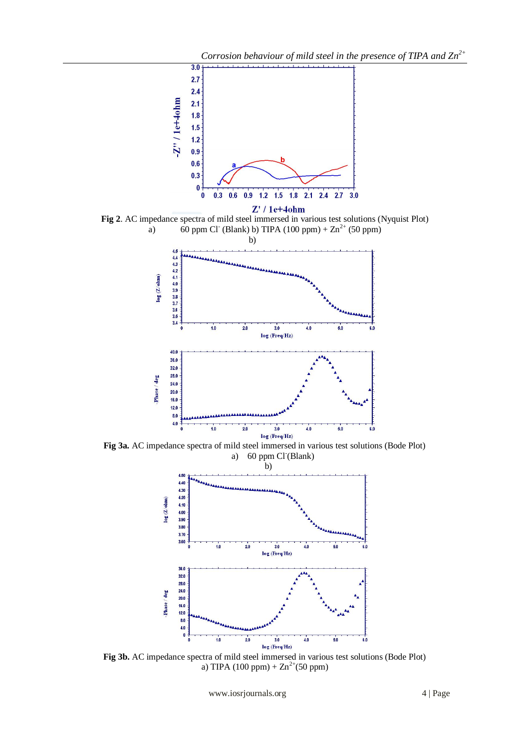

**Fig 2**. AC impedance spectra of mild steel immersed in various test solutions (Nyquist Plot) a) 60 ppm Cl<sup>-</sup> (Blank) b) TIPA (100 ppm) +  $\text{Zn}^{2+}$  (50 ppm)



**Fig 3a.** AC impedance spectra of mild steel immersed in various test solutions (Bode Plot) a) 60 ppm Cl (Blank)



**Fig 3b.** AC impedance spectra of mild steel immersed in various test solutions (Bode Plot) a) TIPA (100 ppm) +  $\text{Zn}^{2+}$ (50 ppm)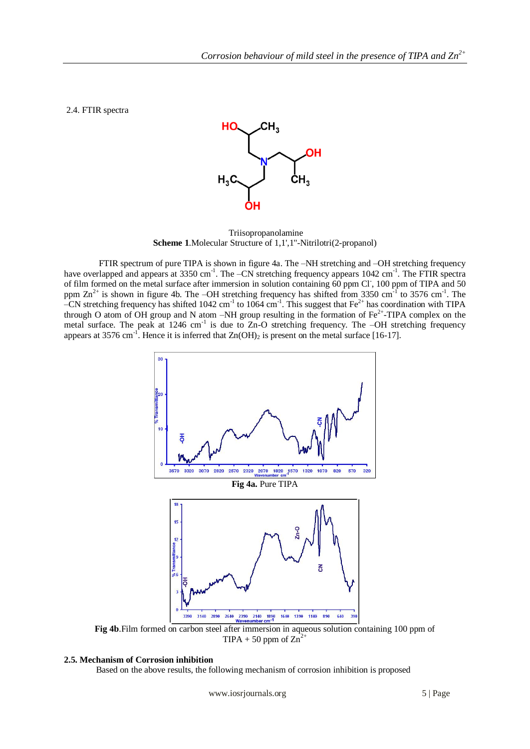2.4. FTIR spectra



Triisopropanolamine **Scheme 1**.Molecular Structure of 1,1',1''-Nitrilotri(2-propanol)

FTIR spectrum of pure TIPA is shown in figure 4a. The –NH stretching and –OH stretching frequency have overlapped and appears at 3350 cm<sup>-1</sup>. The -CN stretching frequency appears 1042 cm<sup>-1</sup>. The FTIR spectra of film formed on the metal surface after immersion in solution containing 60 ppm Cl, 100 ppm of TIPA and 50 ppm  $\text{Zn}^{2+}$  is shown in figure 4b. The -OH stretching frequency has shifted from 3350 cm<sup>-1</sup> to 3576 cm<sup>-1</sup>. The -CN stretching frequency has shifted  $1042 \text{ cm}^{-1}$  to  $1064 \text{ cm}^{-1}$ . This suggest that Fe<sup>2+</sup> has coordination with TIPA through O atom of OH group and N atom –NH group resulting in the formation of  $Fe^{2+}$ -TIPA complex on the metal surface. The peak at 1246 cm<sup>-1</sup> is due to Zn-O stretching frequency. The -OH stretching frequency appears at 3576 cm<sup>-1</sup>. Hence it is inferred that  $Zn(OH)_2$  is present on the metal surface [16-17].



**Fig 4b**. Film formed on carbon steel after immersion in aqueous solution containing 100 ppm of TIPA + 50 ppm of  $\text{Zn}^{2+}$ 

#### **2.5. Mechanism of Corrosion inhibition**

Based on the above results, the following mechanism of corrosion inhibition is proposed

www.iosrjournals.org 5 | Page